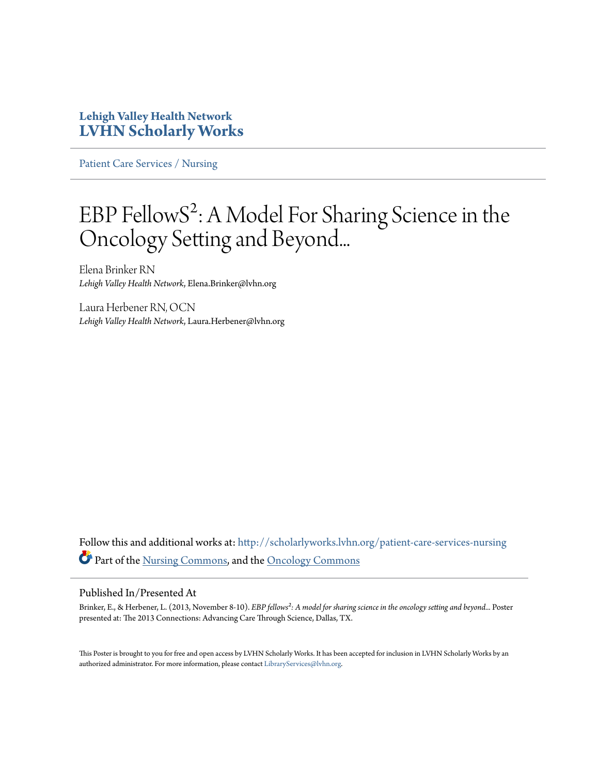#### **Lehigh Valley Health Network [LVHN Scholarly Works](http://scholarlyworks.lvhn.org?utm_source=scholarlyworks.lvhn.org%2Fpatient-care-services-nursing%2F257&utm_medium=PDF&utm_campaign=PDFCoverPages)**

[Patient Care Services / Nursing](http://scholarlyworks.lvhn.org/patient-care-services-nursing?utm_source=scholarlyworks.lvhn.org%2Fpatient-care-services-nursing%2F257&utm_medium=PDF&utm_campaign=PDFCoverPages)

#### EBP FellowS²: A Model For Sharing Science in the Oncology Setting and Beyond...

Elena Brinker RN *Lehigh Valley Health Network*, Elena.Brinker@lvhn.org

Laura Herbener RN, OCN *Lehigh Valley Health Network*, Laura.Herbener@lvhn.org

Follow this and additional works at: [http://scholarlyworks.lvhn.org/patient-care-services-nursing](http://scholarlyworks.lvhn.org/patient-care-services-nursing?utm_source=scholarlyworks.lvhn.org%2Fpatient-care-services-nursing%2F257&utm_medium=PDF&utm_campaign=PDFCoverPages) Part of the [Nursing Commons](http://network.bepress.com/hgg/discipline/718?utm_source=scholarlyworks.lvhn.org%2Fpatient-care-services-nursing%2F257&utm_medium=PDF&utm_campaign=PDFCoverPages), and the [Oncology Commons](http://network.bepress.com/hgg/discipline/694?utm_source=scholarlyworks.lvhn.org%2Fpatient-care-services-nursing%2F257&utm_medium=PDF&utm_campaign=PDFCoverPages)

#### Published In/Presented At

Brinker, E., & Herbener, L. (2013, November 8-10). *EBP fellows²: A model for sharing science in the oncology setting and beyond...* Poster presented at: The 2013 Connections: Advancing Care Through Science, Dallas, TX.

This Poster is brought to you for free and open access by LVHN Scholarly Works. It has been accepted for inclusion in LVHN Scholarly Works by an authorized administrator. For more information, please contact [LibraryServices@lvhn.org.](mailto:LibraryServices@lvhn.org)